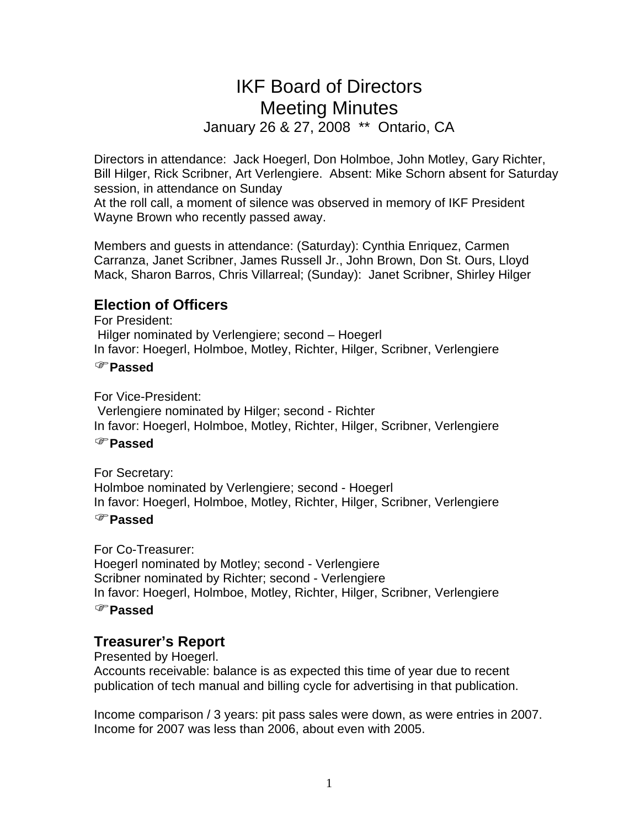# IKF Board of Directors Meeting Minutes

January 26 & 27, 2008 \*\* Ontario, CA

Directors in attendance: Jack Hoegerl, Don Holmboe, John Motley, Gary Richter, Bill Hilger, Rick Scribner, Art Verlengiere. Absent: Mike Schorn absent for Saturday session, in attendance on Sunday

At the roll call, a moment of silence was observed in memory of IKF President Wayne Brown who recently passed away.

Members and guests in attendance: (Saturday): Cynthia Enriquez, Carmen Carranza, Janet Scribner, James Russell Jr., John Brown, Don St. Ours, Lloyd Mack, Sharon Barros, Chris Villarreal; (Sunday): Janet Scribner, Shirley Hilger

## **Election of Officers**

For President: Hilger nominated by Verlengiere; second – Hoegerl In favor: Hoegerl, Holmboe, Motley, Richter, Hilger, Scribner, Verlengiere

#### )**Passed**

For Vice-President:

 Verlengiere nominated by Hilger; second - Richter In favor: Hoegerl, Holmboe, Motley, Richter, Hilger, Scribner, Verlengiere

### )**Passed**

For Secretary: Holmboe nominated by Verlengiere; second - Hoegerl In favor: Hoegerl, Holmboe, Motley, Richter, Hilger, Scribner, Verlengiere

### )**Passed**

For Co-Treasurer: Hoegerl nominated by Motley; second - Verlengiere Scribner nominated by Richter; second - Verlengiere In favor: Hoegerl, Holmboe, Motley, Richter, Hilger, Scribner, Verlengiere )**Passed**

## **Treasurer's Report**

Presented by Hoegerl.

Accounts receivable: balance is as expected this time of year due to recent publication of tech manual and billing cycle for advertising in that publication.

Income comparison / 3 years: pit pass sales were down, as were entries in 2007. Income for 2007 was less than 2006, about even with 2005.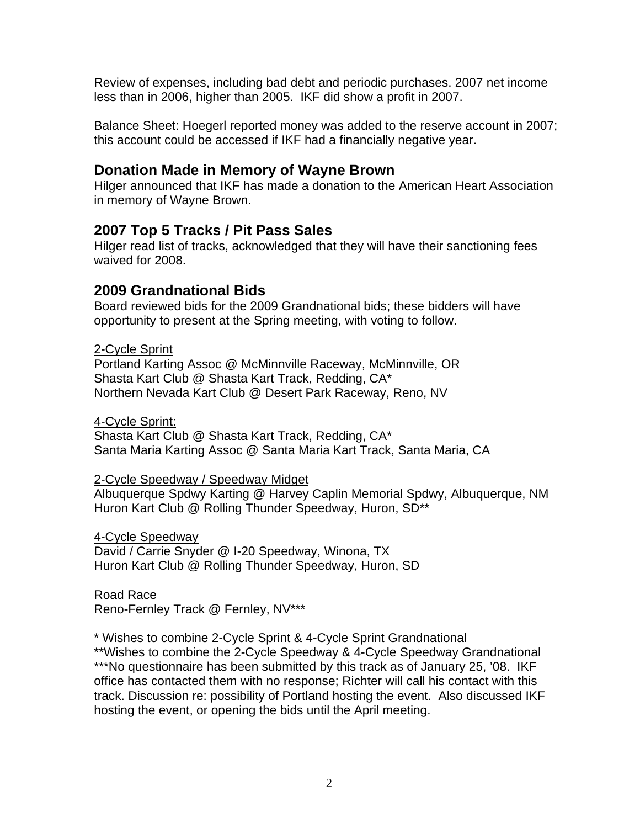Review of expenses, including bad debt and periodic purchases. 2007 net income less than in 2006, higher than 2005. IKF did show a profit in 2007.

Balance Sheet: Hoegerl reported money was added to the reserve account in 2007; this account could be accessed if IKF had a financially negative year.

## **Donation Made in Memory of Wayne Brown**

Hilger announced that IKF has made a donation to the American Heart Association in memory of Wayne Brown.

## **2007 Top 5 Tracks / Pit Pass Sales**

Hilger read list of tracks, acknowledged that they will have their sanctioning fees waived for 2008.

### **2009 Grandnational Bids**

Board reviewed bids for the 2009 Grandnational bids; these bidders will have opportunity to present at the Spring meeting, with voting to follow.

#### 2-Cycle Sprint

Portland Karting Assoc @ McMinnville Raceway, McMinnville, OR Shasta Kart Club @ Shasta Kart Track, Redding, CA\* Northern Nevada Kart Club @ Desert Park Raceway, Reno, NV

4-Cycle Sprint:

Shasta Kart Club @ Shasta Kart Track, Redding, CA\* Santa Maria Karting Assoc @ Santa Maria Kart Track, Santa Maria, CA

#### 2-Cycle Speedway / Speedway Midget

Albuquerque Spdwy Karting @ Harvey Caplin Memorial Spdwy, Albuquerque, NM Huron Kart Club @ Rolling Thunder Speedway, Huron, SD\*\*

4-Cycle Speedway

David / Carrie Snyder @ I-20 Speedway, Winona, TX Huron Kart Club @ Rolling Thunder Speedway, Huron, SD

Road Race

Reno-Fernley Track @ Fernley, NV\*\*\*

\* Wishes to combine 2-Cycle Sprint & 4-Cycle Sprint Grandnational

\*\*Wishes to combine the 2-Cycle Speedway & 4-Cycle Speedway Grandnational \*\*\*No questionnaire has been submitted by this track as of January 25, '08. IKF office has contacted them with no response; Richter will call his contact with this track. Discussion re: possibility of Portland hosting the event. Also discussed IKF hosting the event, or opening the bids until the April meeting.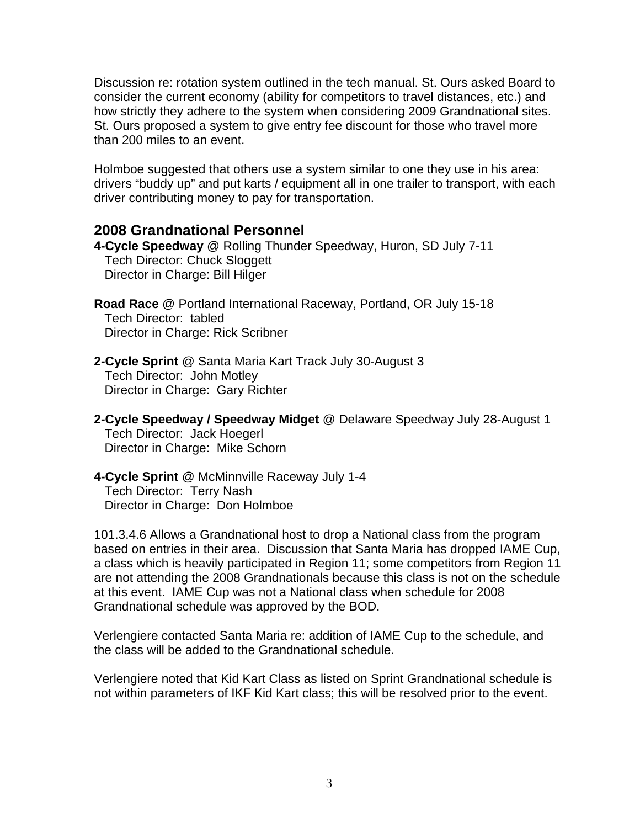Discussion re: rotation system outlined in the tech manual. St. Ours asked Board to consider the current economy (ability for competitors to travel distances, etc.) and how strictly they adhere to the system when considering 2009 Grandnational sites. St. Ours proposed a system to give entry fee discount for those who travel more than 200 miles to an event.

Holmboe suggested that others use a system similar to one they use in his area: drivers "buddy up" and put karts / equipment all in one trailer to transport, with each driver contributing money to pay for transportation.

### **2008 Grandnational Personnel**

**4-Cycle Speedway** @ Rolling Thunder Speedway, Huron, SD July 7-11 Tech Director: Chuck Sloggett Director in Charge: Bill Hilger

**Road Race** @ Portland International Raceway, Portland, OR July 15-18 Tech Director: tabled Director in Charge: Rick Scribner

**2-Cycle Sprint** @ Santa Maria Kart Track July 30-August 3 Tech Director: John Motley Director in Charge: Gary Richter

**2-Cycle Speedway / Speedway Midget** @ Delaware Speedway July 28-August 1 Tech Director: Jack Hoegerl Director in Charge: Mike Schorn

**4-Cycle Sprint** @ McMinnville Raceway July 1-4 Tech Director: Terry Nash Director in Charge: Don Holmboe

101.3.4.6 Allows a Grandnational host to drop a National class from the program based on entries in their area. Discussion that Santa Maria has dropped IAME Cup, a class which is heavily participated in Region 11; some competitors from Region 11 are not attending the 2008 Grandnationals because this class is not on the schedule at this event. IAME Cup was not a National class when schedule for 2008 Grandnational schedule was approved by the BOD.

Verlengiere contacted Santa Maria re: addition of IAME Cup to the schedule, and the class will be added to the Grandnational schedule.

Verlengiere noted that Kid Kart Class as listed on Sprint Grandnational schedule is not within parameters of IKF Kid Kart class; this will be resolved prior to the event.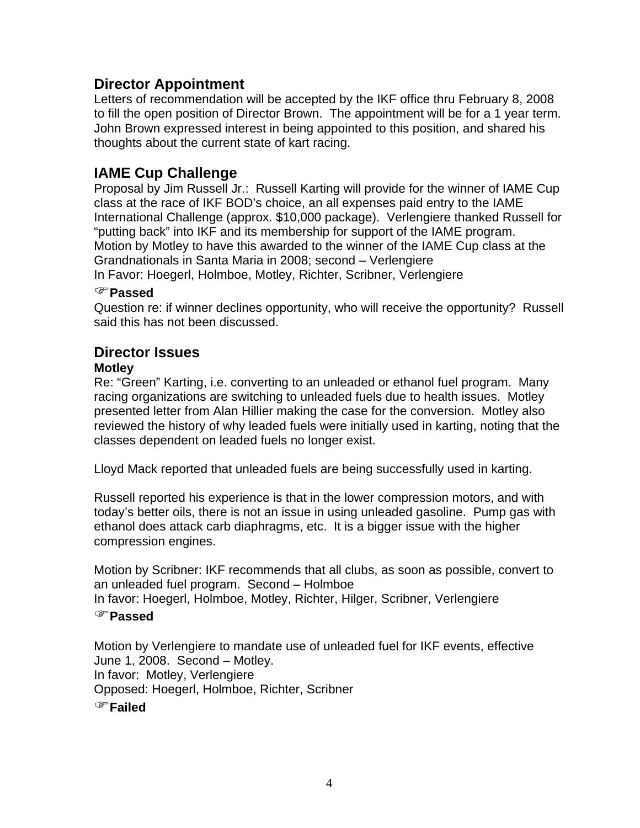## **Director Appointment**

Letters of recommendation will be accepted by the IKF office thru February 8, 2008 to fill the open position of Director Brown. The appointment will be for a 1 year term. John Brown expressed interest in being appointed to this position, and shared his thoughts about the current state of kart racing.

## **IAME Cup Challenge**

Proposal by Jim Russell Jr.: Russell Karting will provide for the winner of IAME Cup class at the race of IKF BOD's choice, an all expenses paid entry to the IAME International Challenge (approx. \$10,000 package). Verlengiere thanked Russell for "putting back" into IKF and its membership for support of the IAME program. Motion by Motley to have this awarded to the winner of the IAME Cup class at the Grandnationals in Santa Maria in 2008; second – Verlengiere In Favor: Hoegerl, Holmboe, Motley, Richter, Scribner, Verlengiere

#### )**Passed**

Question re: if winner declines opportunity, who will receive the opportunity? Russell said this has not been discussed.

## **Director Issues**

#### **Motley**

Re: "Green" Karting, i.e. converting to an unleaded or ethanol fuel program. Many racing organizations are switching to unleaded fuels due to health issues. Motley presented letter from Alan Hillier making the case for the conversion. Motley also reviewed the history of why leaded fuels were initially used in karting, noting that the classes dependent on leaded fuels no longer exist.

Lloyd Mack reported that unleaded fuels are being successfully used in karting.

Russell reported his experience is that in the lower compression motors, and with today's better oils, there is not an issue in using unleaded gasoline. Pump gas with ethanol does attack carb diaphragms, etc. It is a bigger issue with the higher compression engines.

Motion by Scribner: IKF recommends that all clubs, as soon as possible, convert to an unleaded fuel program. Second – Holmboe

In favor: Hoegerl, Holmboe, Motley, Richter, Hilger, Scribner, Verlengiere

#### )**Passed**

Motion by Verlengiere to mandate use of unleaded fuel for IKF events, effective June 1, 2008. Second – Motley. In favor: Motley, Verlengiere Opposed: Hoegerl, Holmboe, Richter, Scribner )**Failed**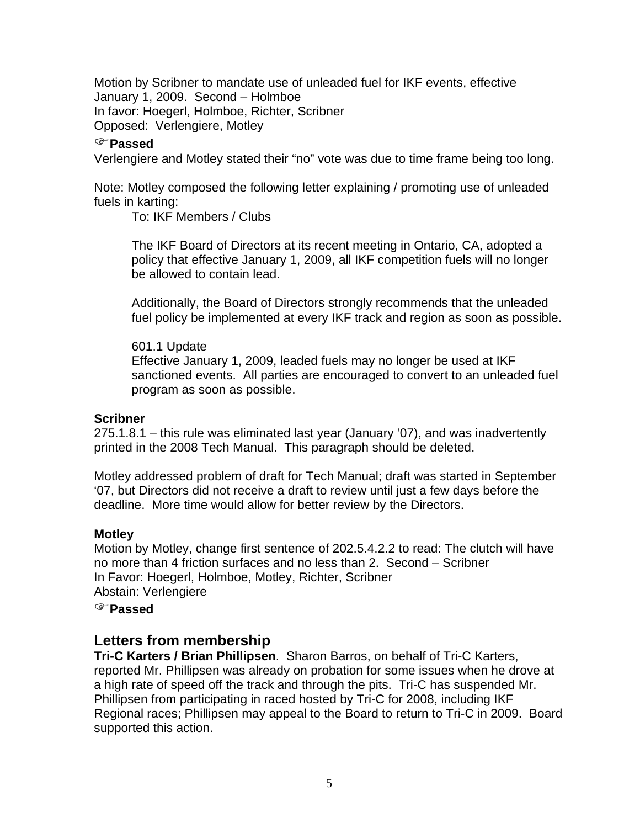Motion by Scribner to mandate use of unleaded fuel for IKF events, effective January 1, 2009. Second – Holmboe In favor: Hoegerl, Holmboe, Richter, Scribner Opposed: Verlengiere, Motley

#### )**Passed**

Verlengiere and Motley stated their "no" vote was due to time frame being too long.

Note: Motley composed the following letter explaining / promoting use of unleaded fuels in karting:

To: IKF Members / Clubs

The IKF Board of Directors at its recent meeting in Ontario, CA, adopted a policy that effective January 1, 2009, all IKF competition fuels will no longer be allowed to contain lead.

Additionally, the Board of Directors strongly recommends that the unleaded fuel policy be implemented at every IKF track and region as soon as possible.

601.1 Update

Effective January 1, 2009, leaded fuels may no longer be used at IKF sanctioned events. All parties are encouraged to convert to an unleaded fuel program as soon as possible.

#### **Scribner**

275.1.8.1 – this rule was eliminated last year (January '07), and was inadvertently printed in the 2008 Tech Manual. This paragraph should be deleted.

Motley addressed problem of draft for Tech Manual; draft was started in September '07, but Directors did not receive a draft to review until just a few days before the deadline. More time would allow for better review by the Directors.

### **Motley**

Motion by Motley, change first sentence of 202.5.4.2.2 to read: The clutch will have no more than 4 friction surfaces and no less than 2. Second – Scribner In Favor: Hoegerl, Holmboe, Motley, Richter, Scribner Abstain: Verlengiere

)**Passed**

## **Letters from membership**

**Tri-C Karters / Brian Phillipsen**. Sharon Barros, on behalf of Tri-C Karters, reported Mr. Phillipsen was already on probation for some issues when he drove at a high rate of speed off the track and through the pits. Tri-C has suspended Mr. Phillipsen from participating in raced hosted by Tri-C for 2008, including IKF Regional races; Phillipsen may appeal to the Board to return to Tri-C in 2009. Board supported this action.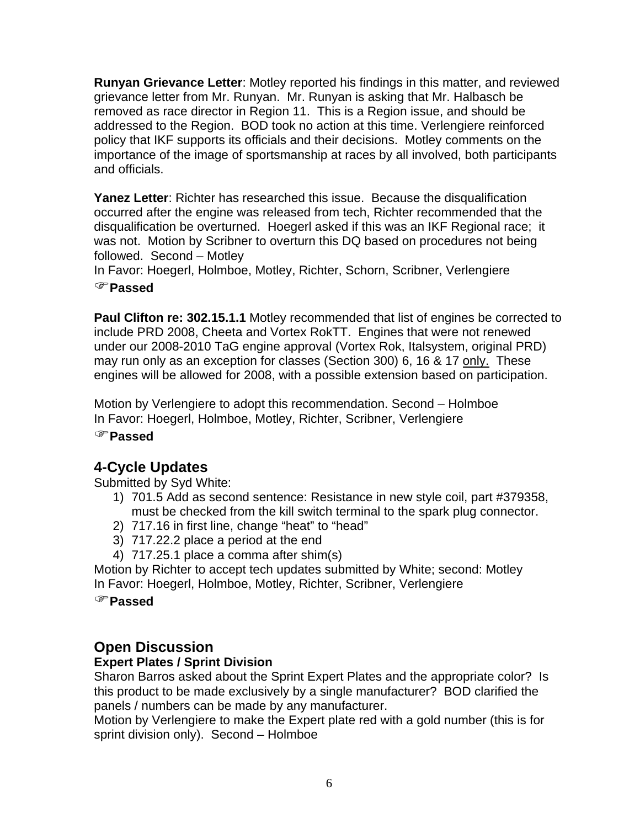**Runyan Grievance Letter**: Motley reported his findings in this matter, and reviewed grievance letter from Mr. Runyan. Mr. Runyan is asking that Mr. Halbasch be removed as race director in Region 11. This is a Region issue, and should be addressed to the Region. BOD took no action at this time. Verlengiere reinforced policy that IKF supports its officials and their decisions. Motley comments on the importance of the image of sportsmanship at races by all involved, both participants and officials.

**Yanez Letter**: Richter has researched this issue. Because the disqualification occurred after the engine was released from tech, Richter recommended that the disqualification be overturned. Hoegerl asked if this was an IKF Regional race; it was not. Motion by Scribner to overturn this DQ based on procedures not being followed. Second – Motley

In Favor: Hoegerl, Holmboe, Motley, Richter, Schorn, Scribner, Verlengiere )**Passed**

**Paul Clifton re: 302.15.1.1** Motley recommended that list of engines be corrected to include PRD 2008, Cheeta and Vortex RokTT. Engines that were not renewed under our 2008-2010 TaG engine approval (Vortex Rok, Italsystem, original PRD) may run only as an exception for classes (Section 300) 6, 16 & 17 only. These engines will be allowed for 2008, with a possible extension based on participation.

Motion by Verlengiere to adopt this recommendation. Second – Holmboe In Favor: Hoegerl, Holmboe, Motley, Richter, Scribner, Verlengiere

)**Passed**

## **4-Cycle Updates**

Submitted by Syd White:

- 1) 701.5 Add as second sentence: Resistance in new style coil, part #379358, must be checked from the kill switch terminal to the spark plug connector.
- 2) 717.16 in first line, change "heat" to "head"
- 3) 717.22.2 place a period at the end
- 4) 717.25.1 place a comma after shim(s)

Motion by Richter to accept tech updates submitted by White; second: Motley In Favor: Hoegerl, Holmboe, Motley, Richter, Scribner, Verlengiere

)**Passed**

## **Open Discussion**

### **Expert Plates / Sprint Division**

Sharon Barros asked about the Sprint Expert Plates and the appropriate color? Is this product to be made exclusively by a single manufacturer? BOD clarified the panels / numbers can be made by any manufacturer.

Motion by Verlengiere to make the Expert plate red with a gold number (this is for sprint division only). Second – Holmboe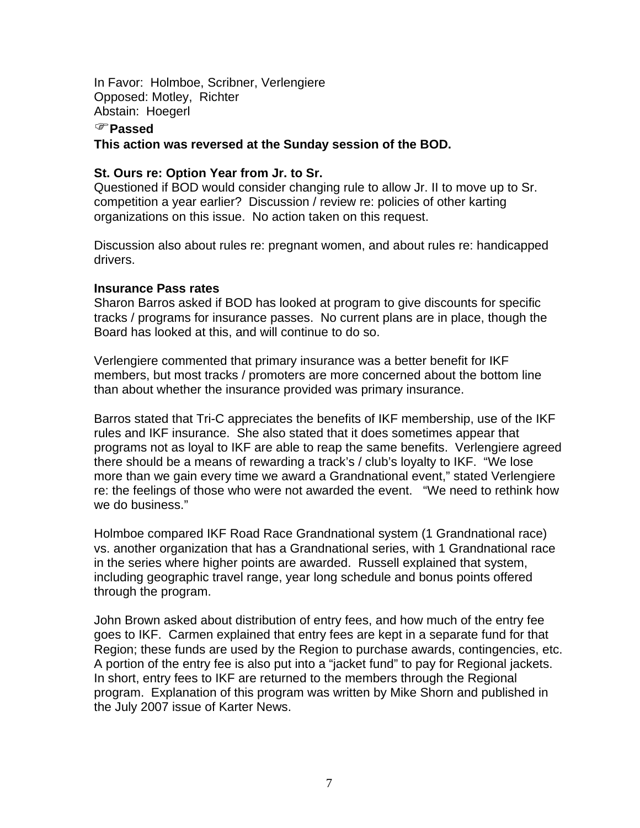In Favor: Holmboe, Scribner, Verlengiere Opposed: Motley, Richter Abstain: Hoegerl

#### )**Passed**

**This action was reversed at the Sunday session of the BOD.**

#### **St. Ours re: Option Year from Jr. to Sr.**

Questioned if BOD would consider changing rule to allow Jr. II to move up to Sr. competition a year earlier? Discussion / review re: policies of other karting organizations on this issue. No action taken on this request.

Discussion also about rules re: pregnant women, and about rules re: handicapped drivers.

#### **Insurance Pass rates**

Sharon Barros asked if BOD has looked at program to give discounts for specific tracks / programs for insurance passes. No current plans are in place, though the Board has looked at this, and will continue to do so.

Verlengiere commented that primary insurance was a better benefit for IKF members, but most tracks / promoters are more concerned about the bottom line than about whether the insurance provided was primary insurance.

Barros stated that Tri-C appreciates the benefits of IKF membership, use of the IKF rules and IKF insurance. She also stated that it does sometimes appear that programs not as loyal to IKF are able to reap the same benefits. Verlengiere agreed there should be a means of rewarding a track's / club's loyalty to IKF. "We lose more than we gain every time we award a Grandnational event," stated Verlengiere re: the feelings of those who were not awarded the event. "We need to rethink how we do business."

Holmboe compared IKF Road Race Grandnational system (1 Grandnational race) vs. another organization that has a Grandnational series, with 1 Grandnational race in the series where higher points are awarded. Russell explained that system, including geographic travel range, year long schedule and bonus points offered through the program.

John Brown asked about distribution of entry fees, and how much of the entry fee goes to IKF. Carmen explained that entry fees are kept in a separate fund for that Region; these funds are used by the Region to purchase awards, contingencies, etc. A portion of the entry fee is also put into a "jacket fund" to pay for Regional jackets. In short, entry fees to IKF are returned to the members through the Regional program. Explanation of this program was written by Mike Shorn and published in the July 2007 issue of Karter News.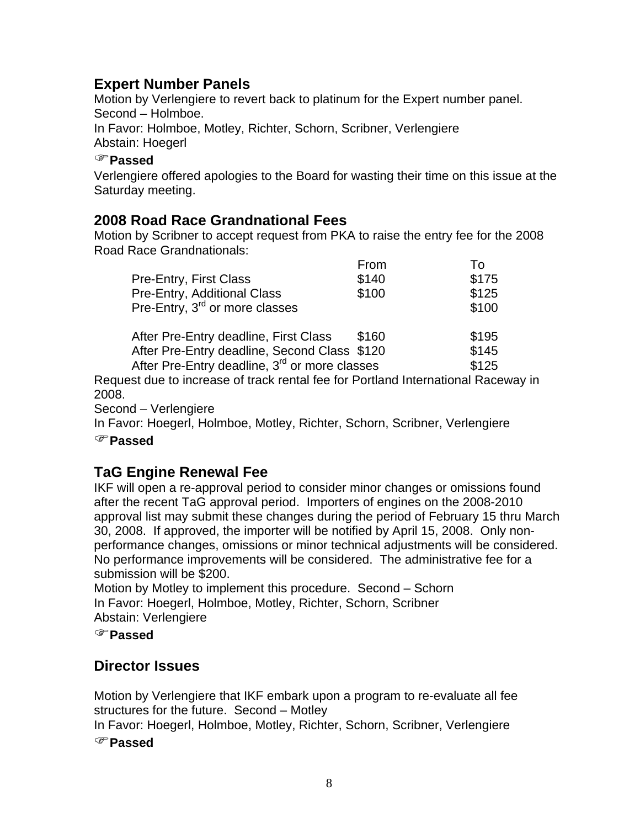## **Expert Number Panels**

Motion by Verlengiere to revert back to platinum for the Expert number panel. Second – Holmboe.

In Favor: Holmboe, Motley, Richter, Schorn, Scribner, Verlengiere Abstain: Hoegerl

#### )**Passed**

Verlengiere offered apologies to the Board for wasting their time on this issue at the Saturday meeting.

## **2008 Road Race Grandnational Fees**

Motion by Scribner to accept request from PKA to raise the entry fee for the 2008 Road Race Grandnationals:

|                                                           | From  | Тი    |
|-----------------------------------------------------------|-------|-------|
| <b>Pre-Entry, First Class</b>                             | \$140 | \$175 |
| Pre-Entry, Additional Class                               | \$100 | \$125 |
| Pre-Entry, 3 <sup>rd</sup> or more classes                |       | \$100 |
|                                                           | \$160 | \$195 |
| After Pre-Entry deadline, First Class                     |       |       |
| After Pre-Entry deadline, Second Class \$120              |       | \$145 |
| After Pre-Entry deadline, 3 <sup>rd</sup> or more classes |       | \$125 |

Request due to increase of track rental fee for Portland International Raceway in 2008.

Second – Verlengiere

In Favor: Hoegerl, Holmboe, Motley, Richter, Schorn, Scribner, Verlengiere

)**Passed**

## **TaG Engine Renewal Fee**

IKF will open a re-approval period to consider minor changes or omissions found after the recent TaG approval period. Importers of engines on the 2008-2010 approval list may submit these changes during the period of February 15 thru March 30, 2008. If approved, the importer will be notified by April 15, 2008. Only nonperformance changes, omissions or minor technical adjustments will be considered. No performance improvements will be considered. The administrative fee for a submission will be \$200.

Motion by Motley to implement this procedure. Second – Schorn In Favor: Hoegerl, Holmboe, Motley, Richter, Schorn, Scribner Abstain: Verlengiere

)**Passed**

## **Director Issues**

Motion by Verlengiere that IKF embark upon a program to re-evaluate all fee structures for the future. Second – Motley

In Favor: Hoegerl, Holmboe, Motley, Richter, Schorn, Scribner, Verlengiere

)**Passed**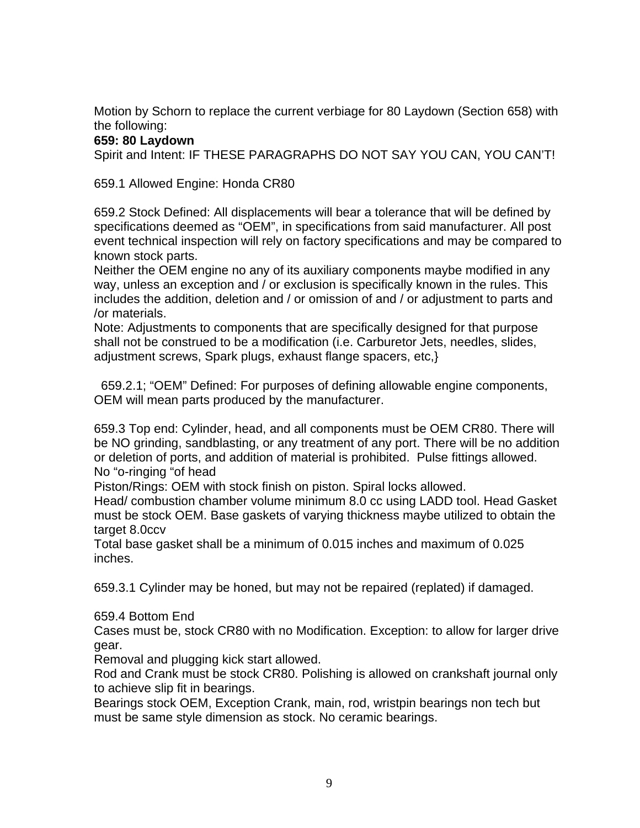Motion by Schorn to replace the current verbiage for 80 Laydown (Section 658) with the following:

#### **659: 80 Laydown**

Spirit and Intent: IF THESE PARAGRAPHS DO NOT SAY YOU CAN, YOU CAN'T!

659.1 Allowed Engine: Honda CR80

659.2 Stock Defined: All displacements will bear a tolerance that will be defined by specifications deemed as "OEM", in specifications from said manufacturer. All post event technical inspection will rely on factory specifications and may be compared to known stock parts.

Neither the OEM engine no any of its auxiliary components maybe modified in any way, unless an exception and / or exclusion is specifically known in the rules. This includes the addition, deletion and / or omission of and / or adjustment to parts and /or materials.

Note: Adjustments to components that are specifically designed for that purpose shall not be construed to be a modification (i.e. Carburetor Jets, needles, slides, adjustment screws, Spark plugs, exhaust flange spacers, etc,}

 659.2.1; "OEM" Defined: For purposes of defining allowable engine components, OEM will mean parts produced by the manufacturer.

659.3 Top end: Cylinder, head, and all components must be OEM CR80. There will be NO grinding, sandblasting, or any treatment of any port. There will be no addition or deletion of ports, and addition of material is prohibited. Pulse fittings allowed. No "o-ringing "of head

Piston/Rings: OEM with stock finish on piston. Spiral locks allowed.

Head/ combustion chamber volume minimum 8.0 cc using LADD tool. Head Gasket must be stock OEM. Base gaskets of varying thickness maybe utilized to obtain the target 8.0ccv

Total base gasket shall be a minimum of 0.015 inches and maximum of 0.025 inches.

659.3.1 Cylinder may be honed, but may not be repaired (replated) if damaged.

### 659.4 Bottom End

Cases must be, stock CR80 with no Modification. Exception: to allow for larger drive gear.

Removal and plugging kick start allowed.

Rod and Crank must be stock CR80. Polishing is allowed on crankshaft journal only to achieve slip fit in bearings.

Bearings stock OEM, Exception Crank, main, rod, wristpin bearings non tech but must be same style dimension as stock. No ceramic bearings.